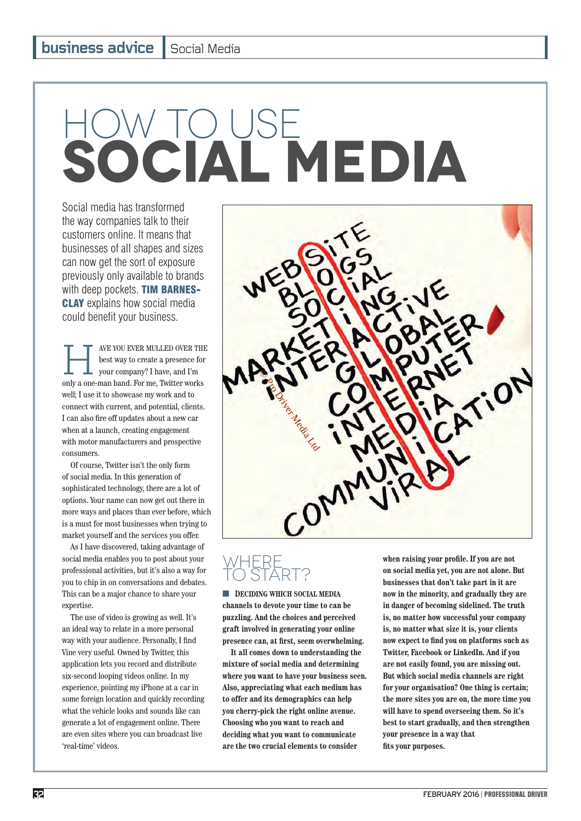# HOW TO USE **SOCIAL media**

Social media has transformed the way companies talk to their customers online. It means that businesses of all shapes and sizes can now get the sort of exposure previously only available to brands with deep pockets. TIM BARNES-**CLAY** explains how social media could benefit your business.

AVE YOU EVER MULLED OVER THE<br>best way to create a presence for<br>your company? I have, and I'm<br>only a one-man band. For me Twitter works best way to create a presence for your company? I have, and I'm only a one-man band. For me, Twitter works well; I use it to showcase my work and to connect with current, and potential, clients. I can also fire off updates about a new car when at a launch, creating engagement with motor manufacturers and prospective consumers.

Of course, Twitter isn't the only form of social media. In this generation of sophisticated technology, there are a lot of options. Your name can now get out there in more ways and places than ever before, which is a must for most businesses when trying to market yourself and the services you offer.

As I have discovered, taking advantage of social media enables you to post about your professional activities, but it's also a way for you to chip in on conversations and debates. This can be a major chance to share your expertise.

The use of video is growing as well. It's an ideal way to relate in a more personal way with your audience. Personally, I find Vine very useful. Owned by Twitter, this application lets you record and distribute six-second looping videos online. In my experience, pointing my iPhone at a car in some foreign location and quickly recording what the vehicle looks and sounds like can generate a lot of engagement online. There are even sites where you can broadcast live 'real-time' videos.



# **WHERE** TO START?

■ **DECIDING WHICH SOCIAL MEDIA channels to devote your time to can be puzzling. And the choices and perceived graft involved in generating your online**  presence can, at first, seem overwhelming.

**It all comes down to understanding the mixture of social media and determining where you want to have your business seen. Also, appreciating what each medium has to offer and its demographics can help you cherry-pick the right online avenue. Choosing who you want to reach and deciding what you want to communicate are the two crucial elements to consider** 

when raising your profile. If you are not **on social media yet, you are not alone. But businesses that don't take part in it are now in the minority, and gradually they are in danger of becoming sidelined. The truth is, no matter how successful your company is, no matter what size it is, your clients**  now expect to find you on platforms such as **Twitter, Facebook or LinkedIn. And if you are not easily found, you are missing out. But which social media channels are right for your organisation? One thing is certain; the more sites you are on, the more time you will have to spend overseeing them. So it's best to start gradually, and then strengthen your presence in a way that**  fits your purposes.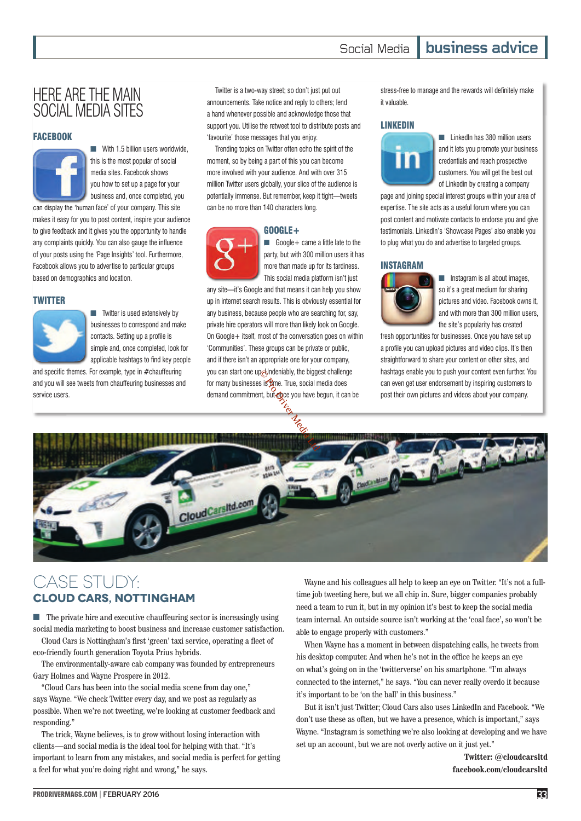# HERE ARE THE MAIN SOCIAL MEDIA SITES

### **FACEBOOK**



■ With 1.5 billion users worldwide, this is the most popular of social media sites. Facebook shows you how to set up a page for your business and, once completed, you

can display the 'human face' of your company. This site makes it easy for you to post content, inspire your audience to give feedback and it gives you the opportunity to handle any complaints quickly. You can also gauge the influence of your posts using the 'Page Insights' tool. Furthermore, Facebook allows you to advertise to particular groups based on demographics and location.

## **TWITTER**



■ Twitter is used extensively by businesses to correspond and make contacts. Setting up a profile is simple and, once completed, look for applicable hashtags to find key people

and specific themes. For example, type in  $#$ chauffeuring and you will see tweets from chauffeuring businesses and service users.

Twitter is a two-way street; so don't just put out announcements. Take notice and reply to others; lend a hand whenever possible and acknowledge those that support you. Utilise the retweet tool to distribute posts and 'favourite' those messages that you enjoy.

Trending topics on Twitter often echo the spirit of the moment, so by being a part of this you can become more involved with your audience. And with over 315 million Twitter users globally, your slice of the audience is potentially immense. But remember, keep it tight—tweets can be no more than 140 characters long.

## GOOGLE+



■ Google + came a little late to the party, but with 300 million users it has more than made up for its tardiness. This social media platform isn't just

any site—it's Google and that means it can help you show up in internet search results. This is obviously essential for any business, because people who are searching for, say, private hire operators will more than likely look on Google. On Google+ itself, most of the conversation goes on within 'Communities'. These groups can be private or public, and if there isn't an appropriate one for your company, you can start one up. Undeniably, the biggest challenge for many businesses is time. True, social media does demand commitment, but **on**ce you have begun, it can be any site—it's Google am<br>any site—it's Google am<br>up in internet search res<br>any business, because<br>ke<br>for communities'. These g Estatemably, the bigge<br>
is is then. True, social methodics<br>
it, but once you have b<br>
the state of the state of the state of the state of the state of the state of the state of the state of the state of the state of the sta

stress-free to manage and the rewards will definitely make it valuable.

#### LINKEDIN



■ LinkedIn has 380 million users and it lets you promote your business credentials and reach prospective customers. You will get the best out of Linkedin by creating a company

page and joining special interest groups within your area of expertise. The site acts as a useful forum where you can post content and motivate contacts to endorse you and give testimonials. LinkedIn's 'Showcase Pages' also enable you to plug what you do and advertise to targeted groups.

## INSTAGRAM



■ Instagram is all about images, so it's a great medium for sharing pictures and video. Facebook owns it, and with more than 300 million users, the site's popularity has created

fresh opportunities for businesses. Once you have set up a profile you can upload pictures and video clips. It's then straightforward to share your content on other sites, and hashtags enable you to push your content even further. You can even get user endorsement by inspiring customers to post their own pictures and videos about your company.



# Case study: **Cloud Cars, Nottingham**

■ The private hire and executive chauffeuring sector is increasingly using social media marketing to boost business and increase customer satisfaction.

Cloud Cars is Nottingham's first 'green' taxi service, operating a fleet of eco-friendly fourth generation Toyota Prius hybrids.

The environmentally-aware cab company was founded by entrepreneurs Gary Holmes and Wayne Prospere in 2012.

"Cloud Cars has been into the social media scene from day one," says Wayne. "We check Twitter every day, and we post as regularly as possible. When we're not tweeting, we're looking at customer feedback and responding."

The trick, Wayne believes, is to grow without losing interaction with clients—and social media is the ideal tool for helping with that. "It's important to learn from any mistakes, and social media is perfect for getting a feel for what you're doing right and wrong," he says.

Wayne and his colleagues all help to keep an eye on Twitter. "It's not a fulltime job tweeting here, but we all chip in. Sure, bigger companies probably need a team to run it, but in my opinion it's best to keep the social media team internal. An outside source isn't working at the 'coal face', so won't be able to engage properly with customers."

When Wayne has a moment in between dispatching calls, he tweets from his desktop computer. And when he's not in the office he keeps an eye on what's going on in the 'twitterverse' on his smartphone. "I'm always connected to the internet," he says. "You can never really overdo it because it's important to be 'on the ball' in this business."

But it isn't just Twitter; Cloud Cars also uses LinkedIn and Facebook. "We don't use these as often, but we have a presence, which is important," says Wayne. "Instagram is something we're also looking at developing and we have set up an account, but we are not overly active on it just yet."

> **Twitter: @cloudcarsltd facebook.com/cloudcarsltd**